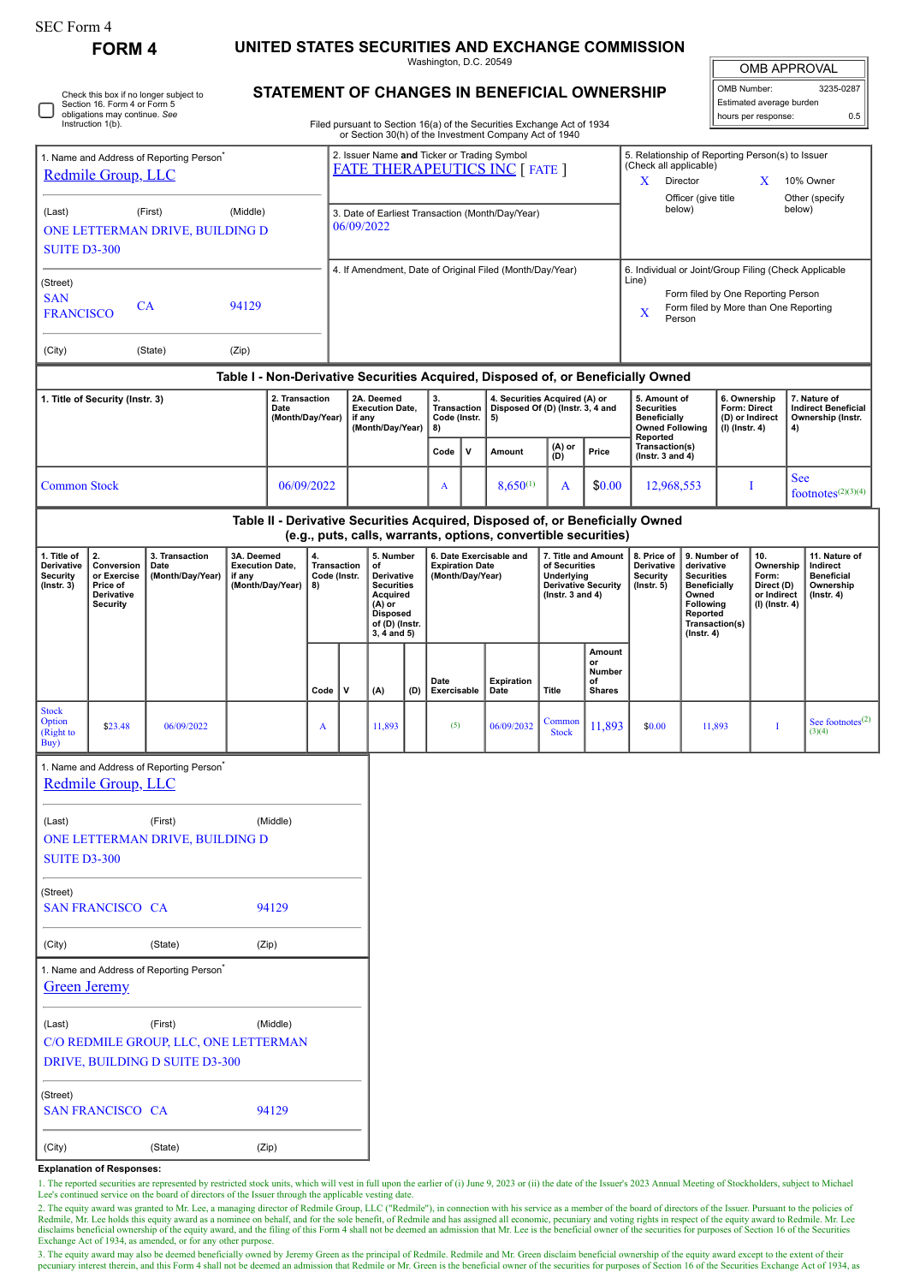| <b>SEC Form 4</b>                                                                                                            |                                                                                                                                                                                                              |                                                      |                             |  |                                                                                                                                    |                                                                                                                        |        |                                                                       |      |                                                                         |                                                                                                      |                                                                                                                                                 |                                                                                                |                                                                                                                                                                                            |                                        |                                                                                              |  |                                                                                      |                                                       |                                |                                  |
|------------------------------------------------------------------------------------------------------------------------------|--------------------------------------------------------------------------------------------------------------------------------------------------------------------------------------------------------------|------------------------------------------------------|-----------------------------|--|------------------------------------------------------------------------------------------------------------------------------------|------------------------------------------------------------------------------------------------------------------------|--------|-----------------------------------------------------------------------|------|-------------------------------------------------------------------------|------------------------------------------------------------------------------------------------------|-------------------------------------------------------------------------------------------------------------------------------------------------|------------------------------------------------------------------------------------------------|--------------------------------------------------------------------------------------------------------------------------------------------------------------------------------------------|----------------------------------------|----------------------------------------------------------------------------------------------|--|--------------------------------------------------------------------------------------|-------------------------------------------------------|--------------------------------|----------------------------------|
| <b>FORM4</b>                                                                                                                 |                                                                                                                                                                                                              |                                                      |                             |  | UNITED STATES SECURITIES AND EXCHANGE COMMISSION<br>Washington, D.C. 20549                                                         |                                                                                                                        |        |                                                                       |      |                                                                         |                                                                                                      |                                                                                                                                                 |                                                                                                |                                                                                                                                                                                            | OMB APPROVAL                           |                                                                                              |  |                                                                                      |                                                       |                                |                                  |
| Check this box if no longer subject to<br>Section 16. Form 4 or Form 5<br>obligations may continue. See<br>Instruction 1(b). |                                                                                                                                                                                                              |                                                      |                             |  |                                                                                                                                    | STATEMENT OF CHANGES IN BENEFICIAL OWNERSHIP<br>Filed pursuant to Section 16(a) of the Securities Exchange Act of 1934 |        |                                                                       |      |                                                                         |                                                                                                      |                                                                                                                                                 |                                                                                                |                                                                                                                                                                                            |                                        | OMB Number:<br>3235-0287<br>Estimated average burden<br>hours per response:<br>0.5           |  |                                                                                      |                                                       |                                |                                  |
|                                                                                                                              |                                                                                                                                                                                                              |                                                      |                             |  |                                                                                                                                    |                                                                                                                        |        |                                                                       |      |                                                                         |                                                                                                      | or Section 30(h) of the Investment Company Act of 1940                                                                                          |                                                                                                |                                                                                                                                                                                            |                                        |                                                                                              |  |                                                                                      |                                                       |                                |                                  |
| 1. Name and Address of Reporting Person<br>Redmile Group, LLC                                                                |                                                                                                                                                                                                              |                                                      |                             |  |                                                                                                                                    | 2. Issuer Name and Ticker or Trading Symbol<br><b>FATE THERAPEUTICS INC [ FATE ]</b>                                   |        |                                                                       |      |                                                                         |                                                                                                      |                                                                                                                                                 |                                                                                                | X.                                                                                                                                                                                         |                                        | (Check all applicable)<br>Director<br>Officer (give title                                    |  | 5. Relationship of Reporting Person(s) to Issuer<br>10% Owner<br>X<br>Other (specify |                                                       |                                |                                  |
| (Middle)<br>(Last)<br>(First)<br>06/09/2022<br>ONE LETTERMAN DRIVE, BUILDING D<br><b>SUITE D3-300</b>                        |                                                                                                                                                                                                              |                                                      |                             |  | 3. Date of Earliest Transaction (Month/Day/Year)                                                                                   |                                                                                                                        |        |                                                                       |      |                                                                         |                                                                                                      |                                                                                                                                                 |                                                                                                | below)                                                                                                                                                                                     |                                        |                                                                                              |  | below)                                                                               |                                                       |                                |                                  |
|                                                                                                                              |                                                                                                                                                                                                              |                                                      |                             |  |                                                                                                                                    |                                                                                                                        |        |                                                                       |      |                                                                         |                                                                                                      | 4. If Amendment, Date of Original Filed (Month/Day/Year)                                                                                        |                                                                                                |                                                                                                                                                                                            | Line)                                  |                                                                                              |  |                                                                                      | 6. Individual or Joint/Group Filing (Check Applicable |                                |                                  |
| (Street)<br><b>SAN</b><br>CA<br>94129<br><b>FRANCISCO</b>                                                                    |                                                                                                                                                                                                              |                                                      |                             |  | x                                                                                                                                  |                                                                                                                        |        |                                                                       |      |                                                                         |                                                                                                      |                                                                                                                                                 | Form filed by One Reporting Person<br>Form filed by More than One Reporting<br>Person          |                                                                                                                                                                                            |                                        |                                                                                              |  |                                                                                      |                                                       |                                |                                  |
| (City)                                                                                                                       |                                                                                                                                                                                                              | (State)                                              | (Zip)                       |  |                                                                                                                                    |                                                                                                                        |        |                                                                       |      |                                                                         |                                                                                                      |                                                                                                                                                 |                                                                                                |                                                                                                                                                                                            |                                        |                                                                                              |  |                                                                                      |                                                       |                                |                                  |
| Table I - Non-Derivative Securities Acquired, Disposed of, or Beneficially Owned                                             |                                                                                                                                                                                                              |                                                      |                             |  |                                                                                                                                    |                                                                                                                        |        |                                                                       |      |                                                                         |                                                                                                      |                                                                                                                                                 |                                                                                                |                                                                                                                                                                                            |                                        |                                                                                              |  |                                                                                      |                                                       |                                |                                  |
| 2. Transaction<br>1. Title of Security (Instr. 3)<br>Date<br>(Month/Day/Year)                                                |                                                                                                                                                                                                              |                                                      |                             |  | if any                                                                                                                             | 2A. Deemed<br><b>Execution Date,</b><br>(Month/Day/Year)                                                               |        | 3.<br>Transaction<br>Code (Instr.<br>8)                               |      | 4. Securities Acquired (A) or<br>Disposed Of (D) (Instr. 3, 4 and<br>5) |                                                                                                      |                                                                                                                                                 | 5. Amount of<br><b>Securities</b><br><b>Beneficially</b><br><b>Owned Following</b><br>Reported |                                                                                                                                                                                            |                                        | 6. Ownership<br>Form: Direct<br>(D) or Indirect<br>$(I)$ (Instr. 4)                          |  | 7. Nature of<br><b>Indirect Beneficial</b><br>Ownership (Instr.<br>4)                |                                                       |                                |                                  |
|                                                                                                                              |                                                                                                                                                                                                              |                                                      |                             |  |                                                                                                                                    |                                                                                                                        |        |                                                                       | Code | v                                                                       | Amount                                                                                               | $(A)$ or<br>(D)                                                                                                                                 | Price                                                                                          |                                                                                                                                                                                            | Transaction(s)<br>( $lnstr. 3 and 4$ ) |                                                                                              |  |                                                                                      |                                                       |                                |                                  |
| <b>Common Stock</b>                                                                                                          |                                                                                                                                                                                                              |                                                      |                             |  | 06/09/2022                                                                                                                         |                                                                                                                        |        |                                                                       |      | $\mathbf{A}$                                                            |                                                                                                      | $8,650^{(1)}$                                                                                                                                   | A                                                                                              | \$0.00                                                                                                                                                                                     | 12,968,553                             |                                                                                              |  | I                                                                                    |                                                       | See<br>$footnotes^{(2)(3)(4)}$ |                                  |
|                                                                                                                              |                                                                                                                                                                                                              |                                                      |                             |  |                                                                                                                                    |                                                                                                                        |        |                                                                       |      |                                                                         |                                                                                                      | Table II - Derivative Securities Acquired, Disposed of, or Beneficially Owned<br>(e.g., puts, calls, warrants, options, convertible securities) |                                                                                                |                                                                                                                                                                                            |                                        |                                                                                              |  |                                                                                      |                                                       |                                |                                  |
| 1. Title of<br>Derivative<br><b>Security</b><br>$($ lnstr. 3 $)$                                                             | 2.<br>3. Transaction<br>3A. Deemed<br>4.<br><b>Execution Date,</b><br>Conversion<br>Date<br>(Month/Day/Year)<br>or Exercise<br>if any<br>(Month/Day/Year)<br>Price of<br>8)<br>Derivative<br><b>Security</b> |                                                      | Transaction<br>Code (Instr. |  | 5. Number<br>of<br>Derivative<br><b>Securities</b><br>Acauired<br>$(A)$ or<br><b>Disposed</b><br>of (D) (Instr.<br>$3, 4$ and $5)$ |                                                                                                                        |        | 6. Date Exercisable and<br><b>Expiration Date</b><br>(Month/Day/Year) |      |                                                                         | 7. Title and Amount<br>of Securities<br>Underlying<br><b>Derivative Security</b><br>(Instr. 3 and 4) |                                                                                                                                                 |                                                                                                | 8. Price of<br>9. Number of<br>Derivative<br>derivative<br><b>Security</b><br><b>Securities</b><br><b>Beneficially</b><br>(Instr. 5)<br>Owned<br>Following<br>Reported<br>$($ Instr. 4 $)$ |                                        | 10.<br>Ownership<br>Form:<br>Direct (D)<br>or Indirect<br>$(I)$ (Instr. 4)<br>Transaction(s) |  | 11. Nature of<br>Indirect<br><b>Beneficial</b><br>Ownership<br>(Instr. 4)            |                                                       |                                |                                  |
|                                                                                                                              |                                                                                                                                                                                                              |                                                      |                             |  | $Code \vert$                                                                                                                       | v                                                                                                                      | (A)    |                                                                       |      | Date<br>(D) Exercisable                                                 |                                                                                                      | Expiration<br>Date                                                                                                                              | Title                                                                                          | Amount<br>or<br>Number<br>of<br><b>Shares</b>                                                                                                                                              |                                        |                                                                                              |  |                                                                                      |                                                       |                                |                                  |
| <b>Stock</b><br>Option<br>(Right to<br>Buy)                                                                                  | \$23.48                                                                                                                                                                                                      | 06/09/2022                                           |                             |  | A                                                                                                                                  |                                                                                                                        | 11,893 |                                                                       |      | (5)                                                                     |                                                                                                      | 06/09/2032                                                                                                                                      | Common<br>Stock                                                                                | 11,893                                                                                                                                                                                     | \$0.00                                 |                                                                                              |  | 11,893                                                                               | I                                                     |                                | See footnotes $^{(2)}$<br>(3)(4) |
|                                                                                                                              | Redmile Group, LLC                                                                                                                                                                                           | 1. Name and Address of Reporting Person <sup>®</sup> |                             |  |                                                                                                                                    |                                                                                                                        |        |                                                                       |      |                                                                         |                                                                                                      |                                                                                                                                                 |                                                                                                |                                                                                                                                                                                            |                                        |                                                                                              |  |                                                                                      |                                                       |                                |                                  |
| (Middle)<br>(First)<br>(Last)<br>ONE LETTERMAN DRIVE, BUILDING D<br><b>SUITE D3-300</b>                                      |                                                                                                                                                                                                              |                                                      |                             |  |                                                                                                                                    |                                                                                                                        |        |                                                                       |      |                                                                         |                                                                                                      |                                                                                                                                                 |                                                                                                |                                                                                                                                                                                            |                                        |                                                                                              |  |                                                                                      |                                                       |                                |                                  |
| (Street)<br><b>SAN FRANCISCO CA</b><br>94129                                                                                 |                                                                                                                                                                                                              |                                                      |                             |  |                                                                                                                                    |                                                                                                                        |        |                                                                       |      |                                                                         |                                                                                                      |                                                                                                                                                 |                                                                                                |                                                                                                                                                                                            |                                        |                                                                                              |  |                                                                                      |                                                       |                                |                                  |
| (State)<br>(Zip)<br>(City)                                                                                                   |                                                                                                                                                                                                              |                                                      |                             |  |                                                                                                                                    |                                                                                                                        |        |                                                                       |      |                                                                         |                                                                                                      |                                                                                                                                                 |                                                                                                |                                                                                                                                                                                            |                                        |                                                                                              |  |                                                                                      |                                                       |                                |                                  |
| <b>Green Jeremy</b>                                                                                                          |                                                                                                                                                                                                              | 1. Name and Address of Reporting Person <sup>*</sup> |                             |  |                                                                                                                                    |                                                                                                                        |        |                                                                       |      |                                                                         |                                                                                                      |                                                                                                                                                 |                                                                                                |                                                                                                                                                                                            |                                        |                                                                                              |  |                                                                                      |                                                       |                                |                                  |
| (First)<br>(Middle)<br>(Last)<br>C/O REDMILE GROUP, LLC, ONE LETTERMAN<br>DRIVE, BUILDING D SUITE D3-300                     |                                                                                                                                                                                                              |                                                      |                             |  |                                                                                                                                    |                                                                                                                        |        |                                                                       |      |                                                                         |                                                                                                      |                                                                                                                                                 |                                                                                                |                                                                                                                                                                                            |                                        |                                                                                              |  |                                                                                      |                                                       |                                |                                  |

| (Street)<br><b>SAN FRANCISCO CA</b> |         | 94129 |  |  |  |  |  |
|-------------------------------------|---------|-------|--|--|--|--|--|
| (City)                              | (State) | (Zip  |  |  |  |  |  |

## **Explanation of Responses:**

1. The reported securities are represented by restricted stock units, which will vest in full upon the earlier of (i) June 9, 2023 or (ii) the date of the Issuer's 2023 Annual Meeting of Stockholders, subject to Michael<br>Le

2. The equity award was granted to Mr. Lee, a managing director of Redmile Group, LLC ("Redmile"), in connection with his service as a member of the board of directors of the Issuer. Pursuant to the policies of<br>Redmile, Mr

3. The equity award may also be deemed beneficially owned by Jeremy Green as the principal of Redmile. Redmile and Mr. Green disclaim beneficial ownership of the equity award except to the extent of their pecuniary interest therein, and this Form 4 shall not be deemed an admission that Redmile or Mr. Green is the beneficial owner of the securities for purposes of Section 16 of the Securities Exchange Act of 1934, as